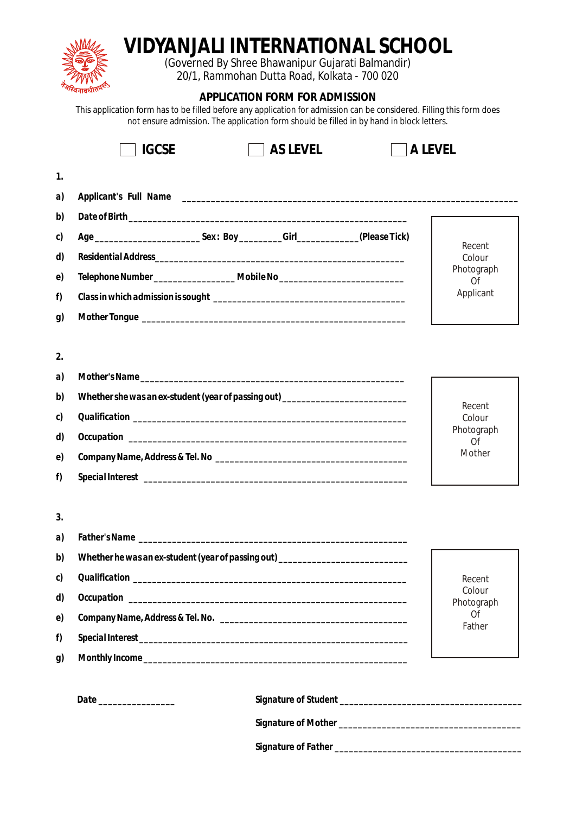|          | VIDYANJALI INTERNATIONAL SCHOOL<br>(Governed By Shree Bhawanipur Gujarati Balmandir)<br>20/1, Rammohan Dutta Road, Kolkata - 700 020<br>APPLICATION FORM FOR ADMISSION<br>This application form has to be filled before any application for admission can be considered. Filling this form does |                                   |  |
|----------|-------------------------------------------------------------------------------------------------------------------------------------------------------------------------------------------------------------------------------------------------------------------------------------------------|-----------------------------------|--|
|          | not ensure admission. The application form should be filled in by hand in block letters.                                                                                                                                                                                                        |                                   |  |
|          | AS LEVEL<br><b>IGCSE</b>                                                                                                                                                                                                                                                                        | A LEVEL                           |  |
| 1.       |                                                                                                                                                                                                                                                                                                 |                                   |  |
| a)       |                                                                                                                                                                                                                                                                                                 |                                   |  |
| b)       |                                                                                                                                                                                                                                                                                                 |                                   |  |
| c)       |                                                                                                                                                                                                                                                                                                 |                                   |  |
| d)       |                                                                                                                                                                                                                                                                                                 | Recent<br>Colour                  |  |
| e)       | Telephone Number_______________________ Mobile No_______________________________                                                                                                                                                                                                                | Photograph                        |  |
| f)       |                                                                                                                                                                                                                                                                                                 | Of<br>Applicant                   |  |
| g)       |                                                                                                                                                                                                                                                                                                 |                                   |  |
|          |                                                                                                                                                                                                                                                                                                 |                                   |  |
| 2.       |                                                                                                                                                                                                                                                                                                 |                                   |  |
| a)       |                                                                                                                                                                                                                                                                                                 |                                   |  |
| b)       | Whether she was an ex-student (year of passing out) ____________________________                                                                                                                                                                                                                |                                   |  |
| c)       |                                                                                                                                                                                                                                                                                                 | Recent<br>Colour                  |  |
| d)       |                                                                                                                                                                                                                                                                                                 | Photograph                        |  |
| e)       | Company Name, Address & Tel. No                                                                                                                                                                                                                                                                 | Of<br>Mother                      |  |
| f)       |                                                                                                                                                                                                                                                                                                 |                                   |  |
|          |                                                                                                                                                                                                                                                                                                 |                                   |  |
| 3.       |                                                                                                                                                                                                                                                                                                 |                                   |  |
| a)       |                                                                                                                                                                                                                                                                                                 |                                   |  |
| b)       | Whether he was an ex-student (year of passing out) _____________________________                                                                                                                                                                                                                |                                   |  |
| c)       |                                                                                                                                                                                                                                                                                                 |                                   |  |
| d)       |                                                                                                                                                                                                                                                                                                 | Recent<br>Colour                  |  |
|          |                                                                                                                                                                                                                                                                                                 | Photograph<br><b>Of</b><br>Father |  |
| e)<br>f) |                                                                                                                                                                                                                                                                                                 |                                   |  |
|          |                                                                                                                                                                                                                                                                                                 |                                   |  |
| g)       |                                                                                                                                                                                                                                                                                                 |                                   |  |
|          |                                                                                                                                                                                                                                                                                                 |                                   |  |
|          |                                                                                                                                                                                                                                                                                                 |                                   |  |
|          |                                                                                                                                                                                                                                                                                                 |                                   |  |

*Signature of Father \_\_\_\_\_\_\_\_\_\_\_\_\_\_\_\_\_\_\_\_\_\_\_\_\_\_\_\_\_\_\_\_\_\_\_\_\_\_\_*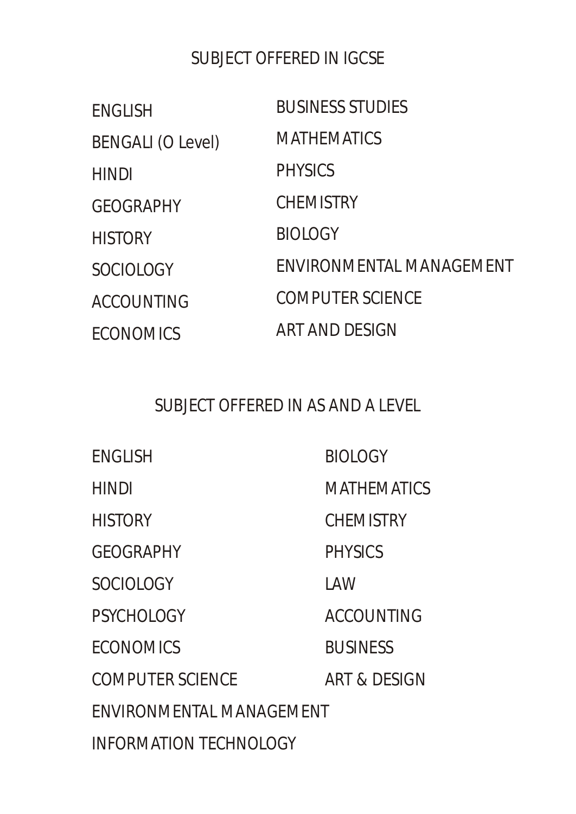## SUBJECT OFFERED IN IGCSE

| <b>ENGLISH</b>           | <b>BUSINESS STUDIES</b>  |
|--------------------------|--------------------------|
| <b>BENGALI (O Level)</b> | <b>MATHEMATICS</b>       |
| <b>HINDI</b>             | <b>PHYSICS</b>           |
| <b>GEOGRAPHY</b>         | <b>CHEMISTRY</b>         |
| <b>HISTORY</b>           | <b>BIOLOGY</b>           |
| <b>SOCIOLOGY</b>         | ENVIRONMENTAL MANAGEMENT |
| <b>ACCOUNTING</b>        | <b>COMPUTER SCIENCE</b>  |
| <b>ECONOMICS</b>         | ART AND DESIGN           |

## SUBJECT OFFERED IN AS AND A LEVEL

| <b>ENGLISH</b>                | <b>BIOLOGY</b>          |  |  |
|-------------------------------|-------------------------|--|--|
| <b>HINDI</b>                  | <b>MATHEMATICS</b>      |  |  |
| <b>HISTORY</b>                | <b>CHEMISTRY</b>        |  |  |
| <b>GEOGRAPHY</b>              | <b>PHYSICS</b>          |  |  |
| <b>SOCIOLOGY</b>              | LAW                     |  |  |
| <b>PSYCHOLOGY</b>             | <b>ACCOUNTING</b>       |  |  |
| <b>ECONOMICS</b>              | <b>BUSINESS</b>         |  |  |
| <b>COMPUTER SCIENCE</b>       | <b>ART &amp; DESIGN</b> |  |  |
| FNVIRONMENTAL MANAGEMENT      |                         |  |  |
| <b>INFORMATION TECHNOLOGY</b> |                         |  |  |